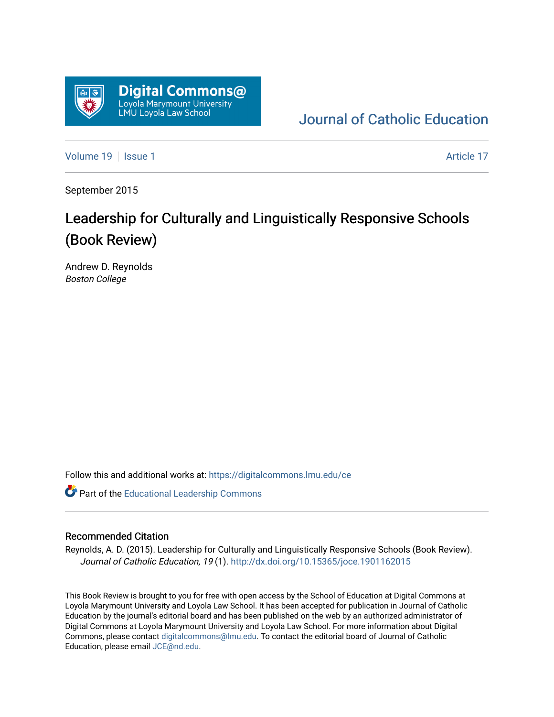

[Journal of Catholic Education](https://digitalcommons.lmu.edu/ce) 

[Volume 19](https://digitalcommons.lmu.edu/ce/vol19) | [Issue 1](https://digitalcommons.lmu.edu/ce/vol19/iss1) Article 17

September 2015

# Leadership for Culturally and Linguistically Responsive Schools (Book Review)

Andrew D. Reynolds Boston College

Follow this and additional works at: [https://digitalcommons.lmu.edu/ce](https://digitalcommons.lmu.edu/ce?utm_source=digitalcommons.lmu.edu%2Fce%2Fvol19%2Fiss1%2F17&utm_medium=PDF&utm_campaign=PDFCoverPages)

Part of the [Educational Leadership Commons](https://network.bepress.com/hgg/discipline/1230?utm_source=digitalcommons.lmu.edu%2Fce%2Fvol19%2Fiss1%2F17&utm_medium=PDF&utm_campaign=PDFCoverPages) 

### Recommended Citation

Reynolds, A. D. (2015). Leadership for Culturally and Linguistically Responsive Schools (Book Review). Journal of Catholic Education, 19 (1).<http://dx.doi.org/10.15365/joce.1901162015>

This Book Review is brought to you for free with open access by the School of Education at Digital Commons at Loyola Marymount University and Loyola Law School. It has been accepted for publication in Journal of Catholic Education by the journal's editorial board and has been published on the web by an authorized administrator of Digital Commons at Loyola Marymount University and Loyola Law School. For more information about Digital Commons, please contact [digitalcommons@lmu.edu.](mailto:digitalcommons@lmu.edu) To contact the editorial board of Journal of Catholic Education, please email [JCE@nd.edu.](mailto:JCE@nd.edu)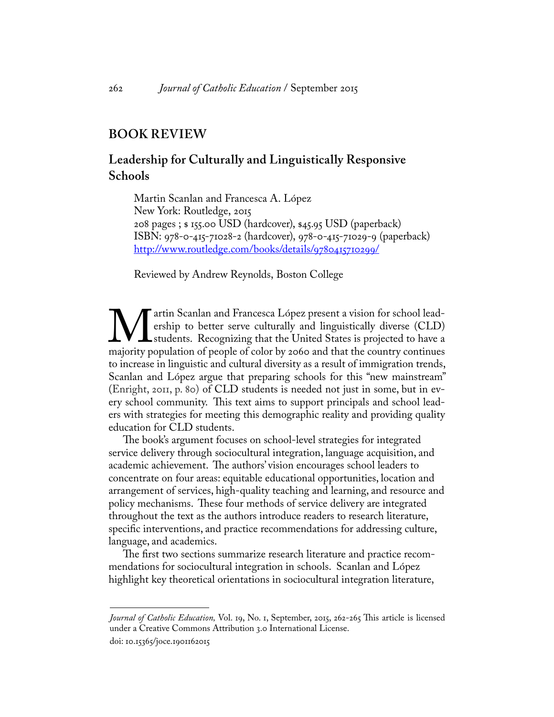## **BOOK REVIEW**

## **Leadership for Culturally and Linguistically Responsive Schools**

Martin Scanlan and Francesca A. López New York: Routledge, 2015 208 pages ; \$ 155.00 USD (hardcover), \$45.95 USD (paperback) ISBN: 978-0-415-71028-2 (hardcover), 978-0-415-71029-9 (paperback) [http://www.routledge.com/books/details/9780415710299/](http://)

Reviewed by Andrew Reynolds, Boston College

We artin Scanlan and Francesca López present a vision for school lead-<br>ership to better serve culturally and linguistically diverse (CLD)<br>majority population of people of color by 2060 and that the country continues ership to better serve culturally and linguistically diverse (CLD) students. Recognizing that the United States is projected to have a majority population of people of color by 2060 and that the country continues to increase in linguistic and cultural diversity as a result of immigration trends, Scanlan and López argue that preparing schools for this "new mainstream" (Enright, 2011, p. 80) of CLD students is needed not just in some, but in every school community. This text aims to support principals and school leaders with strategies for meeting this demographic reality and providing quality education for CLD students.

The book's argument focuses on school-level strategies for integrated service delivery through sociocultural integration, language acquisition, and academic achievement. The authors' vision encourages school leaders to concentrate on four areas: equitable educational opportunities, location and arrangement of services, high-quality teaching and learning, and resource and policy mechanisms. These four methods of service delivery are integrated throughout the text as the authors introduce readers to research literature, specific interventions, and practice recommendations for addressing culture, language, and academics.

The first two sections summarize research literature and practice recommendations for sociocultural integration in schools. Scanlan and López highlight key theoretical orientations in sociocultural integration literature,

*Journal of Catholic Education,* Vol. 19, No. 1, September, 2015, 262-265 This article is licensed under a Creative Commons Attribution 3.0 International License. doi: 10.15365/joce.1901162015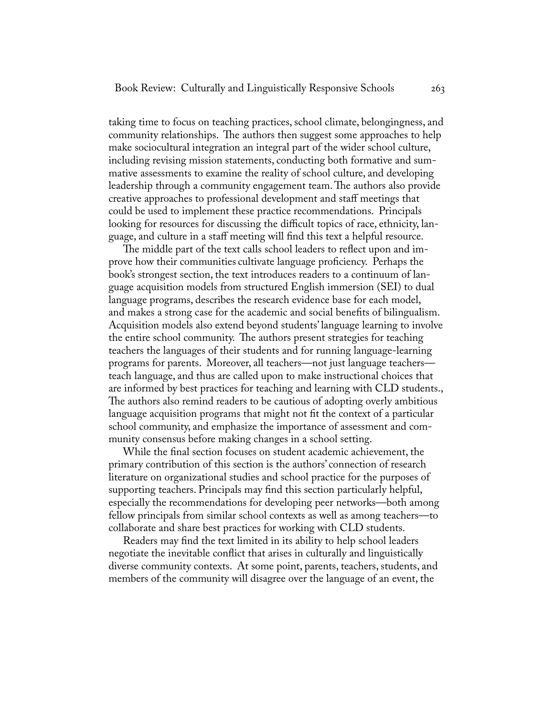taking time to focus on teaching practices, school climate, belongingness, and community relationships. The authors then suggest some approaches to help make sociocultural integration an integral part of the wider school culture, including revising mission statements, conducting both formative and summative assessments to examine the reality of school culture, and developing leadership through a community engagement team. The authors also provide creative approaches to professional development and staff meetings that could be used to implement these practice recommendations. Principals looking for resources for discussing the difficult topics of race, ethnicity, language, and culture in a staff meeting will find this text a helpful resource.

The middle part of the text calls school leaders to reflect upon and improve how their communities cultivate language proficiency. Perhaps the book's strongest section, the text introduces readers to a continuum of language acquisition models from structured English immersion (SEI) to dual language programs, describes the research evidence base for each model, and makes a strong case for the academic and social benefits of bilingualism. Acquisition models also extend beyond students' language learning to involve the entire school community. The authors present strategies for teaching teachers the languages of their students and for running language-learning programs for parents. Moreover, all teachers—not just language teachers teach language, and thus are called upon to make instructional choices that are informed by best practices for teaching and learning with CLD students., The authors also remind readers to be cautious of adopting overly ambitious language acquisition programs that might not fit the context of a particular school community, and emphasize the importance of assessment and community consensus before making changes in a school setting.

While the final section focuses on student academic achievement, the primary contribution of this section is the authors' connection of research literature on organizational studies and school practice for the purposes of supporting teachers. Principals may find this section particularly helpful, especially the recommendations for developing peer networks—both among fellow principals from similar school contexts as well as among teachers—to collaborate and share best practices for working with CLD students.

Readers may find the text limited in its ability to help school leaders negotiate the inevitable conflict that arises in culturally and linguistically diverse community contexts. At some point, parents, teachers, students, and members of the community will disagree over the language of an event, the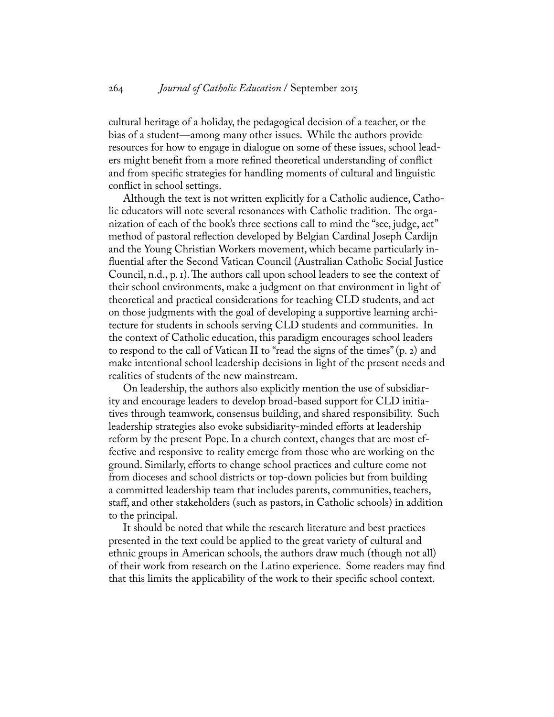cultural heritage of a holiday, the pedagogical decision of a teacher, or the bias of a student—among many other issues. While the authors provide resources for how to engage in dialogue on some of these issues, school leaders might benefit from a more refined theoretical understanding of conflict and from specific strategies for handling moments of cultural and linguistic conflict in school settings.

Although the text is not written explicitly for a Catholic audience, Catholic educators will note several resonances with Catholic tradition. The organization of each of the book's three sections call to mind the "see, judge, act" method of pastoral reflection developed by Belgian Cardinal Joseph Cardijn and the Young Christian Workers movement, which became particularly influential after the Second Vatican Council (Australian Catholic Social Justice Council, n.d., p. 1). The authors call upon school leaders to see the context of their school environments, make a judgment on that environment in light of theoretical and practical considerations for teaching CLD students, and act on those judgments with the goal of developing a supportive learning architecture for students in schools serving CLD students and communities. In the context of Catholic education, this paradigm encourages school leaders to respond to the call of Vatican II to "read the signs of the times" (p. 2) and make intentional school leadership decisions in light of the present needs and realities of students of the new mainstream.

On leadership, the authors also explicitly mention the use of subsidiarity and encourage leaders to develop broad-based support for CLD initiatives through teamwork, consensus building, and shared responsibility. Such leadership strategies also evoke subsidiarity-minded efforts at leadership reform by the present Pope. In a church context, changes that are most effective and responsive to reality emerge from those who are working on the ground. Similarly, efforts to change school practices and culture come not from dioceses and school districts or top-down policies but from building a committed leadership team that includes parents, communities, teachers, staff, and other stakeholders (such as pastors, in Catholic schools) in addition to the principal.

It should be noted that while the research literature and best practices presented in the text could be applied to the great variety of cultural and ethnic groups in American schools, the authors draw much (though not all) of their work from research on the Latino experience. Some readers may find that this limits the applicability of the work to their specific school context.